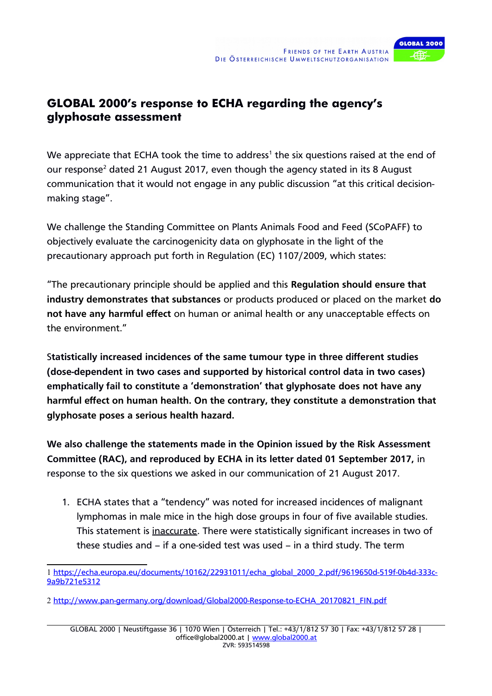

## **GLOBAL 2000's response to ECHA regarding the agency's glyphosate assessment**

We appreciate that ECHA took the time to address<sup>[1](#page-0-0)</sup> the six questions raised at the end of our response<sup>[2](#page-0-1)</sup> dated 21 August 2017, even though the agency stated in its 8 August communication that it would not engage in any public discussion "at this critical decisionmaking stage".

We challenge the Standing Committee on Plants Animals Food and Feed (SCoPAFF) to objectively evaluate the carcinogenicity data on glyphosate in the light of the precautionary approach put forth in Regulation (EC) 1107/2009, which states:

"The precautionary principle should be applied and this Regulation should ensure that industry demonstrates that substances or products produced or placed on the market do not have any harmful effect on human or animal health or any unacceptable effects on the environment."

Statistically increased incidences of the same tumour type in three different studies (dose-dependent in two cases and supported by historical control data in two cases) emphatically fail to constitute a 'demonstration' that glyphosate does not have any harmful effect on human health. On the contrary, they constitute a demonstration that glyphosate poses a serious health hazard.

We also challenge the statements made in the Opinion issued by the Risk Assessment Committee (RAC), and reproduced by ECHA in its letter dated 01 September 2017, in response to the six questions we asked in our communication of 21 August 2017.

1. ECHA states that a "tendency" was noted for increased incidences of malignant lymphomas in male mice in the high dose groups in four of five available studies. This statement is inaccurate. There were statistically significant increases in two of these studies and – if a one-sided test was used – in a third study. The term

<span id="page-0-0"></span><sup>1</sup> [https://echa.europa.eu/documents/10162/22931011/echa\\_global\\_2000\\_2.pdf/9619650d-519f-0b4d-333c-](https://echa.europa.eu/documents/10162/22931011/echa_global_2000_2.pdf/9619650d-519f-0b4d-333c-9a9b721e5312)[9a9b721e5312](https://echa.europa.eu/documents/10162/22931011/echa_global_2000_2.pdf/9619650d-519f-0b4d-333c-9a9b721e5312)

<span id="page-0-1"></span><sup>2</sup> [http://www.pan-germany.org/download/Global2000-Response-to-ECHA\\_20170821\\_FIN.pdf](http://www.pan-germany.org/download/Global2000-Response-to-ECHA_20170821_FIN.pdf)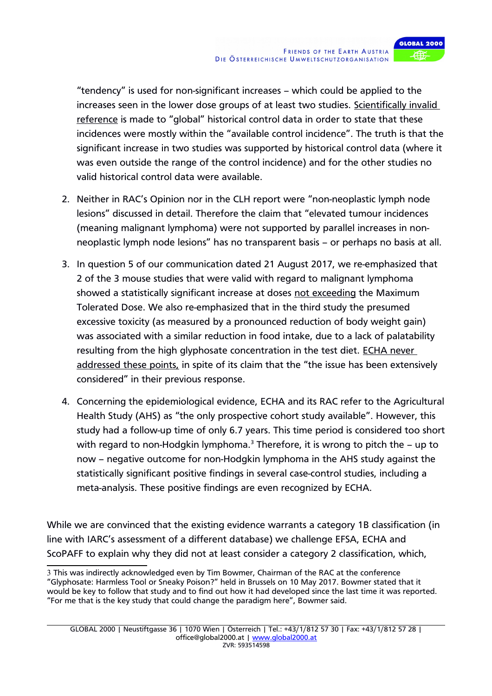

"tendency" is used for non-significant increases – which could be applied to the increases seen in the lower dose groups of at least two studies. Scientifically invalid reference is made to "global" historical control data in order to state that these incidences were mostly within the "available control incidence". The truth is that the significant increase in two studies was supported by historical control data (where it was even outside the range of the control incidence) and for the other studies no valid historical control data were available.

- 2. Neither in RAC's Opinion nor in the CLH report were "non-neoplastic lymph node lesions" discussed in detail. Therefore the claim that "elevated tumour incidences (meaning malignant lymphoma) were not supported by parallel increases in nonneoplastic lymph node lesions" has no transparent basis – or perhaps no basis at all.
- 3. In question 5 of our communication dated 21 August 2017, we re-emphasized that 2 of the 3 mouse studies that were valid with regard to malignant lymphoma showed a statistically significant increase at doses not exceeding the Maximum Tolerated Dose. We also re-emphasized that in the third study the presumed excessive toxicity (as measured by a pronounced reduction of body weight gain) was associated with a similar reduction in food intake, due to a lack of palatability resulting from the high glyphosate concentration in the test diet. ECHA never addressed these points, in spite of its claim that the "the issue has been extensively considered" in their previous response.
- 4. Concerning the epidemiological evidence, ECHA and its RAC refer to the Agricultural Health Study (AHS) as "the only prospective cohort study available". However, this study had a follow-up time of only 6.7 years. This time period is considered too short with regard to non-Hodgkin lymphoma.<sup>[3](#page-1-0)</sup> Therefore, it is wrong to pitch the  $-$  up to now – negative outcome for non-Hodgkin lymphoma in the AHS study against the statistically significant positive findings in several case-control studies, including a meta-analysis. These positive findings are even recognized by ECHA.

While we are convinced that the existing evidence warrants a category 1B classification (in line with IARC's assessment of a different database) we challenge EFSA, ECHA and ScoPAFF to explain why they did not at least consider a category 2 classification, which,

<span id="page-1-0"></span><sup>3</sup> This was indirectly acknowledged even by Tim Bowmer, Chairman of the RAC at the conference "Glyphosate: Harmless Tool or Sneaky Poison?" held in Brussels on 10 May 2017. Bowmer stated that it would be key to follow that study and to find out how it had developed since the last time it was reported. "For me that is the key study that could change the paradigm here", Bowmer said.